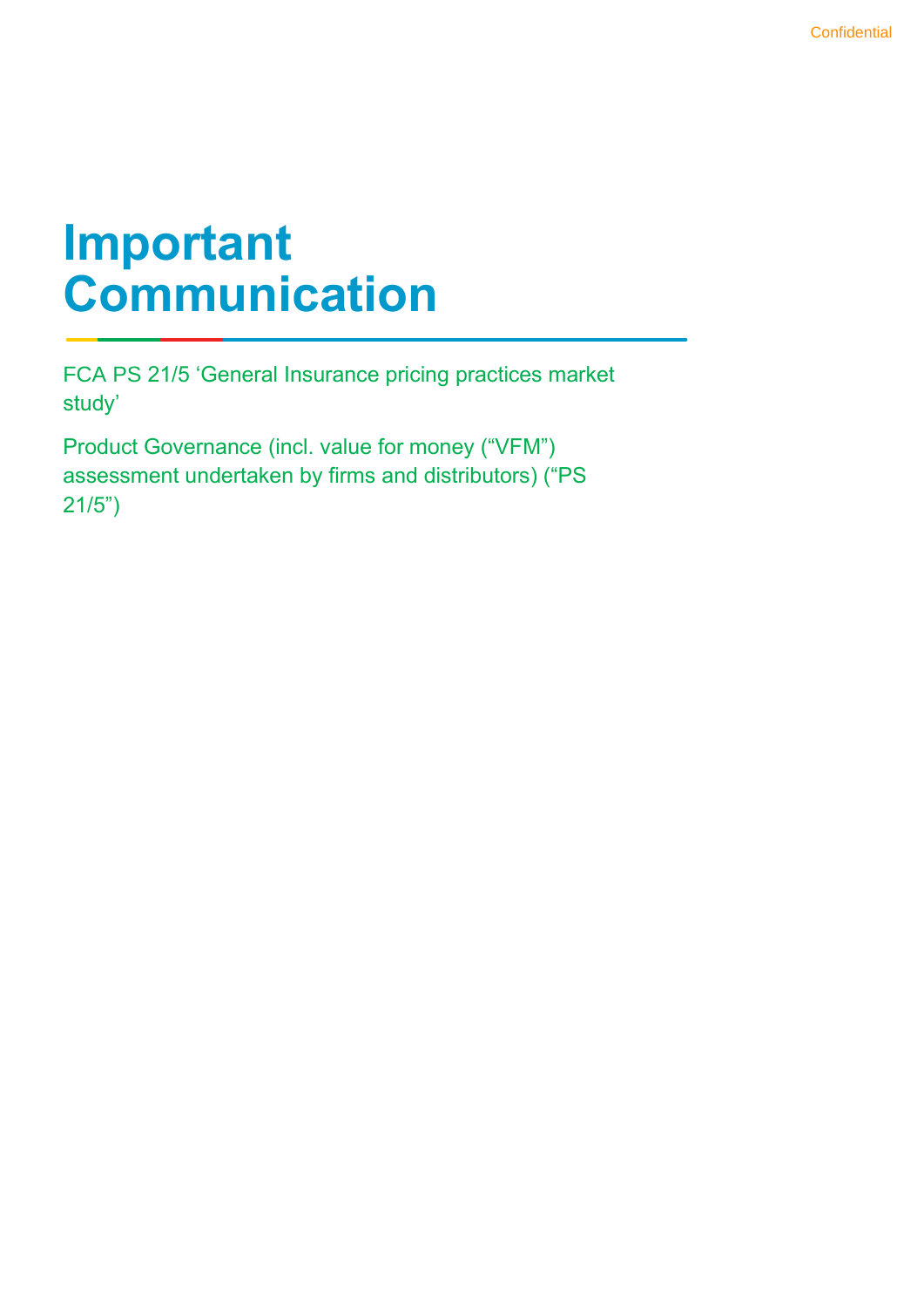## **Important Communication**

FCA PS 21/5 'General Insurance pricing practices market study'

Product Governance (incl. value for money ("VFM") assessment undertaken by firms and distributors) ("PS 21/5")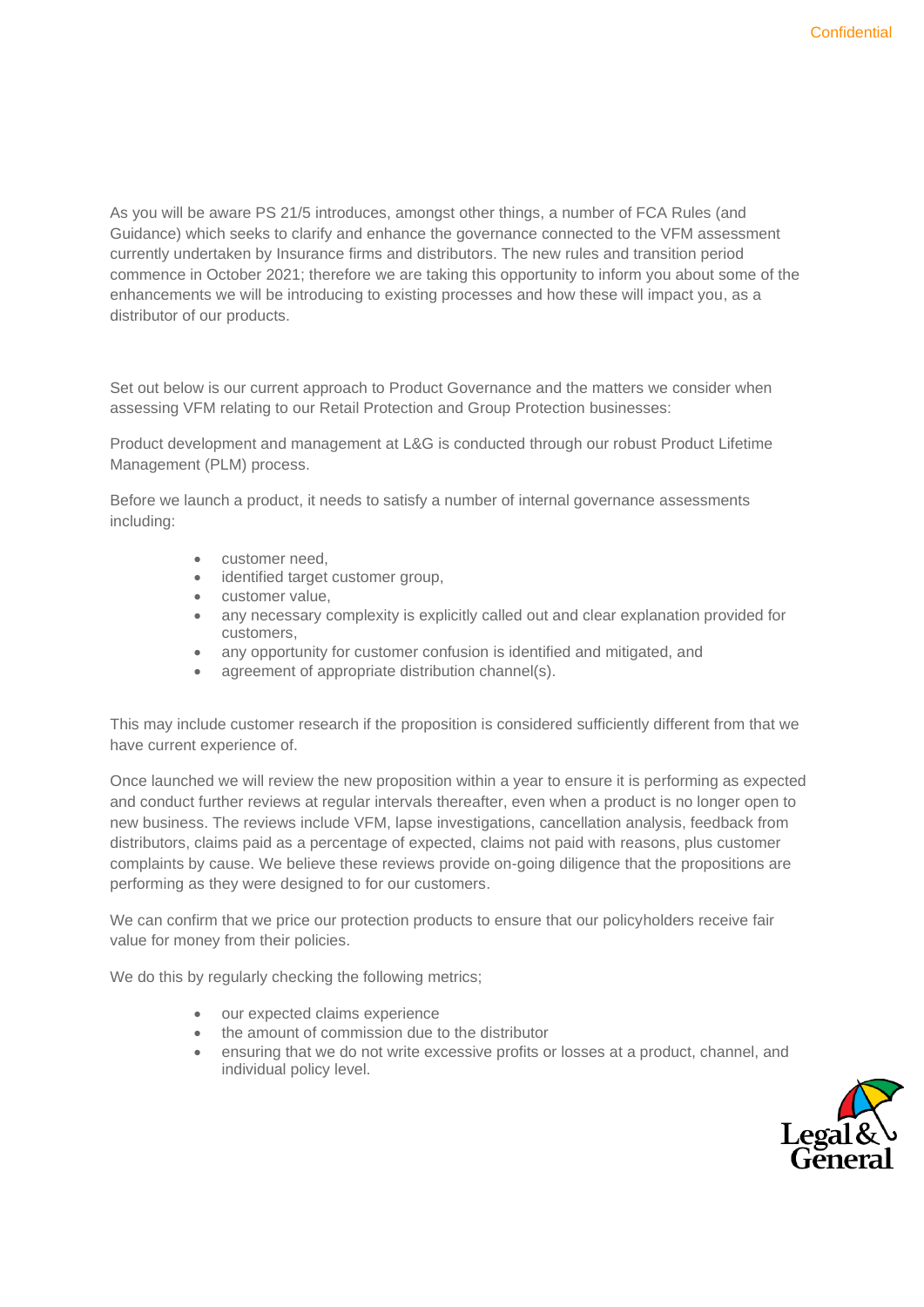As you will be aware PS 21/5 introduces, amongst other things, a number of FCA Rules (and Guidance) which seeks to clarify and enhance the governance connected to the VFM assessment currently undertaken by Insurance firms and distributors. The new rules and transition period commence in October 2021; therefore we are taking this opportunity to inform you about some of the enhancements we will be introducing to existing processes and how these will impact you, as a distributor of our products.

Set out below is our current approach to Product Governance and the matters we consider when assessing VFM relating to our Retail Protection and Group Protection businesses:

Product development and management at L&G is conducted through our robust Product Lifetime Management (PLM) process.

Before we launch a product, it needs to satisfy a number of internal governance assessments including:

- customer need,
- identified target customer group,
- customer value,
- any necessary complexity is explicitly called out and clear explanation provided for customers,
- any opportunity for customer confusion is identified and mitigated, and
- agreement of appropriate distribution channel(s).

This may include customer research if the proposition is considered sufficiently different from that we have current experience of.

Once launched we will review the new proposition within a year to ensure it is performing as expected and conduct further reviews at regular intervals thereafter, even when a product is no longer open to new business. The reviews include VFM, lapse investigations, cancellation analysis, feedback from distributors, claims paid as a percentage of expected, claims not paid with reasons, plus customer complaints by cause. We believe these reviews provide on-going diligence that the propositions are performing as they were designed to for our customers.

We can confirm that we price our protection products to ensure that our policyholders receive fair value for money from their policies.

We do this by regularly checking the following metrics;

- our expected claims experience
- the amount of commission due to the distributor
- ensuring that we do not write excessive profits or losses at a product, channel, and individual policy level.